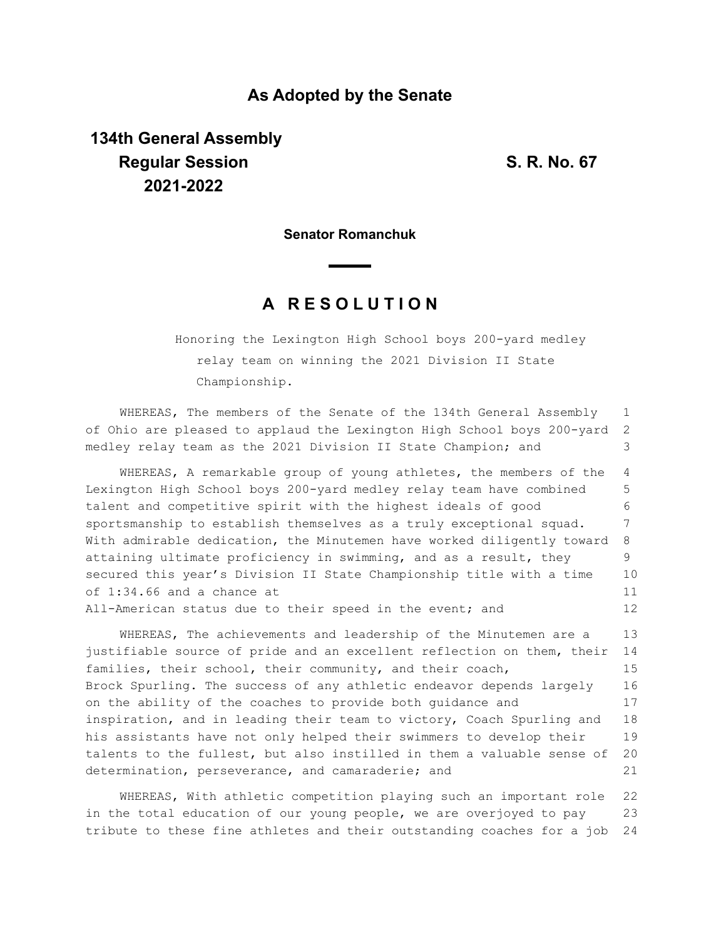### **As Adopted by the Senate**

# **134th General Assembly Regular Session S. R. No. 67 2021-2022**

**Senator Romanchuk**

## **A R E S O L U T I O N**

Honoring the Lexington High School boys 200-yard medley relay team on winning the 2021 Division II State Championship.

WHEREAS, The members of the Senate of the 134th General Assembly of Ohio are pleased to applaud the Lexington High School boys 200-yard medley relay team as the 2021 Division II State Champion; and 1 2 3

WHEREAS, A remarkable group of young athletes, the members of the Lexington High School boys 200-yard medley relay team have combined talent and competitive spirit with the highest ideals of good sportsmanship to establish themselves as a truly exceptional squad. With admirable dedication, the Minutemen have worked diligently toward attaining ultimate proficiency in swimming, and as a result, they secured this year's Division II State Championship title with a time of 1:34.66 and a chance at All-American status due to their speed in the event; and 4 5 6 7 8 9 10 11 12

WHEREAS, The achievements and leadership of the Minutemen are a justifiable source of pride and an excellent reflection on them, their families, their school, their community, and their coach, Brock Spurling. The success of any athletic endeavor depends largely on the ability of the coaches to provide both guidance and inspiration, and in leading their team to victory, Coach Spurling and his assistants have not only helped their swimmers to develop their talents to the fullest, but also instilled in them a valuable sense of determination, perseverance, and camaraderie; and 13 14 15 16 17 18 19 20 21

WHEREAS, With athletic competition playing such an important role in the total education of our young people, we are overjoyed to pay tribute to these fine athletes and their outstanding coaches for a job 22 23 24